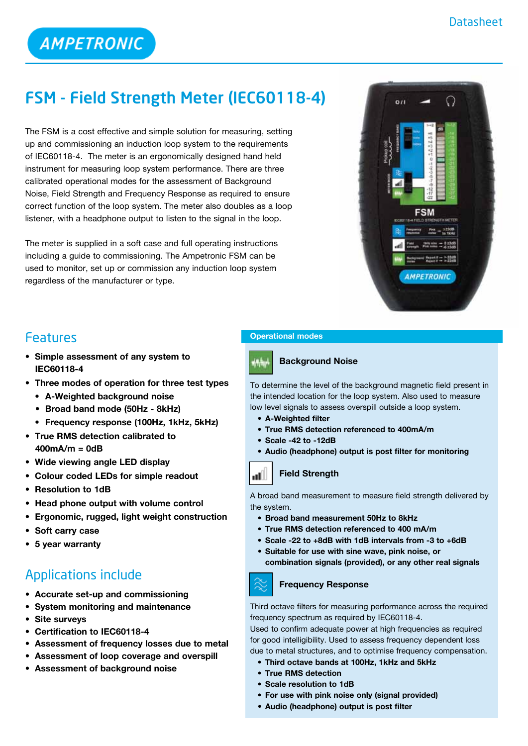# FSM - Field Strength Meter **(**IEC60118-4**)**

The FSM is a cost effective and simple solution for measuring, setting up and commissioning an induction loop system to the requirements of IEC60118-4. The meter is an ergonomically designed hand held instrument for measuring loop system performance. There are three calibrated operational modes for the assessment of Background Noise, Field Strength and Frequency Response as required to ensure correct function of the loop system. The meter also doubles as a loop listener, with a headphone output to listen to the signal in the loop.

The meter is supplied in a soft case and full operating instructions including a guide to commissioning. The Ampetronic FSM can be used to monitor, set up or commission any induction loop system regardless of the manufacturer or type.



## Features

- **• Simple assessment of any system to IEC60118-4**
- **• Three modes of operation for three test types**
	- **• A-Weighted background noise**
	- **• Broad band mode (50Hz - 8kHz)**
	- **• Frequency response (100Hz, 1kHz, 5kHz)**
- **• True RMS detection calibrated to 400mA/m = 0dB**
- **• Wide viewing angle LED display**
- **• Colour coded LEDs for simple readout**
- **• Resolution to 1dB**
- **• Head phone output with volume control**
- **• Ergonomic, rugged, light weight construction**
- **• Soft carry case**
- **• 5 year warranty**

# Applications include

- **• Accurate set-up and commissioning**
- **• System monitoring and maintenance**
- **• Site surveys**
- **• Certification to IEC60118-4**
- **• Assessment of frequency losses due to metal**
- **• Assessment of loop coverage and overspill**
- **• Assessment of background noise**

#### **Operational modes**

#### **Background Noise**

To determine the level of the background magnetic field present in the intended location for the loop system. Also used to measure low level signals to assess overspill outside a loop system.

- **• A-Weighted filter**
- **• True RMS detection referenced to 400mA/m**
- **• Scale -42 to -12dB**
- **• Audio (headphone) output is post filter for monitoring**

#### **nd** Field Strength

A broad band measurement to measure field strength delivered by the system.

- **• Broad band measurement 50Hz to 8kHz**
- **• True RMS detection referenced to 400 mA/m**
- **• Scale -22 to +8dB with 1dB intervals from -3 to +6dB**
- **• Suitable for use with sine wave, pink noise, or**
	- **combination signals (provided), or any other real signals**



#### **Frequency Response**

Third octave filters for measuring performance across the required frequency spectrum as required by IEC60118-4.

Used to confirm adequate power at high frequencies as required for good intelligibility. Used to assess frequency dependent loss due to metal structures, and to optimise frequency compensation.

- **• Third octave bands at 100Hz, 1kHz and 5kHz**
- **• True RMS detection**
- **• Scale resolution to 1dB**
- **• For use with pink noise only (signal provided)**
- **• Audio (headphone) output is post filter**